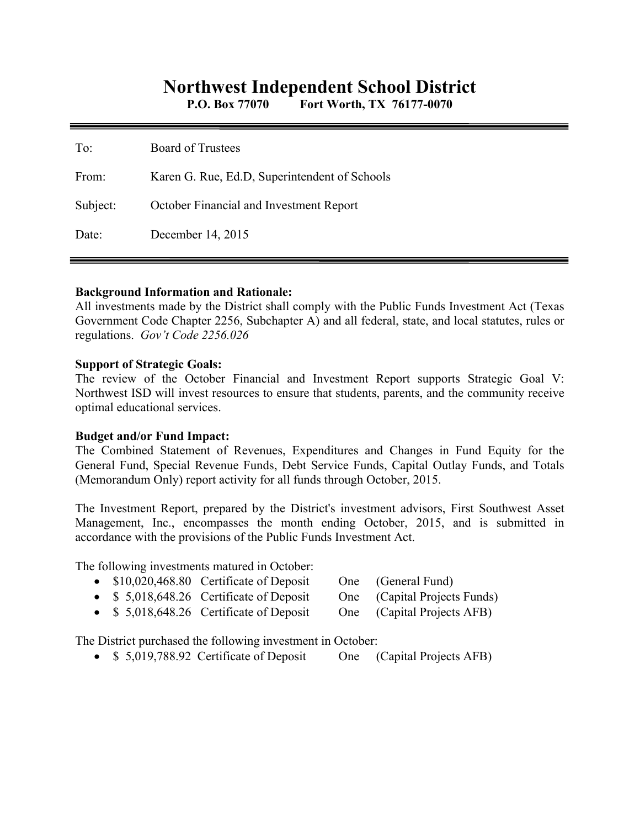# **Northwest Independent School District**

**P.O. Box 77070 Fort Worth, TX 76177-0070** 

| To:      | <b>Board of Trustees</b>                      |
|----------|-----------------------------------------------|
| From:    | Karen G. Rue, Ed.D, Superintendent of Schools |
| Subject: | October Financial and Investment Report       |
| Date:    | December 14, 2015                             |

#### **Background Information and Rationale:**

All investments made by the District shall comply with the Public Funds Investment Act (Texas Government Code Chapter 2256, Subchapter A) and all federal, state, and local statutes, rules or regulations. *Gov't Code 2256.026* 

#### **Support of Strategic Goals:**

The review of the October Financial and Investment Report supports Strategic Goal V: Northwest ISD will invest resources to ensure that students, parents, and the community receive optimal educational services.

#### **Budget and/or Fund Impact:**

The Combined Statement of Revenues, Expenditures and Changes in Fund Equity for the General Fund, Special Revenue Funds, Debt Service Funds, Capital Outlay Funds, and Totals (Memorandum Only) report activity for all funds through October, 2015.

The Investment Report, prepared by the District's investment advisors, First Southwest Asset Management, Inc., encompasses the month ending October, 2015, and is submitted in accordance with the provisions of the Public Funds Investment Act.

The following investments matured in October:

- \$10,020,468.80 Certificate of Deposit One (General Fund)
- \$ 5,018,648.26 Certificate of Deposit One (Capital Projects Funds)
- 
- \$ 5,018,648.26 Certificate of Deposit One (Capital Projects AFB)
- 

The District purchased the following investment in October:

• \$ 5,019,788.92 Certificate of Deposit One (Capital Projects AFB)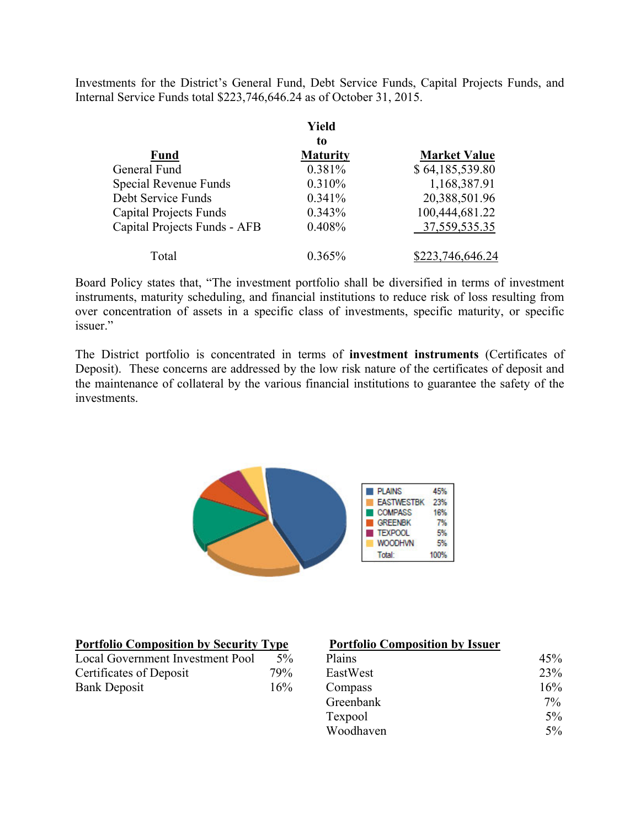Investments for the District's General Fund, Debt Service Funds, Capital Projects Funds, and Internal Service Funds total \$223,746,646.24 as of October 31, 2015.

|                               | Yield           |                     |  |
|-------------------------------|-----------------|---------------------|--|
|                               | to              |                     |  |
| <b>Fund</b>                   | <b>Maturity</b> | <b>Market Value</b> |  |
| General Fund                  | 0.381%          | \$64,185,539.80     |  |
| Special Revenue Funds         | 0.310%          | 1,168,387.91        |  |
| Debt Service Funds            | 0.341%          | 20,388,501.96       |  |
| <b>Capital Projects Funds</b> | 0.343%          | 100,444,681.22      |  |
| Capital Projects Funds - AFB  | 0.408%          | 37, 559, 535. 35    |  |
| Total                         | 0.365%          | \$223,746,646.24    |  |

Board Policy states that, "The investment portfolio shall be diversified in terms of investment instruments, maturity scheduling, and financial institutions to reduce risk of loss resulting from over concentration of assets in a specific class of investments, specific maturity, or specific issuer."

The District portfolio is concentrated in terms of **investment instruments** (Certificates of Deposit). These concerns are addressed by the low risk nature of the certificates of deposit and the maintenance of collateral by the various financial institutions to guarantee the safety of the investments.



Woodhaven 5%

| <b>Portfolio Composition by Security Type</b> |       | <b>Portfolio Composition by Issuer</b> |       |
|-----------------------------------------------|-------|----------------------------------------|-------|
| Local Government Investment Pool              | $5\%$ | Plains                                 | 45%   |
| Certificates of Deposit                       | 79%   | EastWest                               | 23%   |
| <b>Bank Deposit</b>                           | 16%   | Compass                                | 16%   |
|                                               |       | Greenbank                              | $7\%$ |
|                                               |       | Texpool                                | $5\%$ |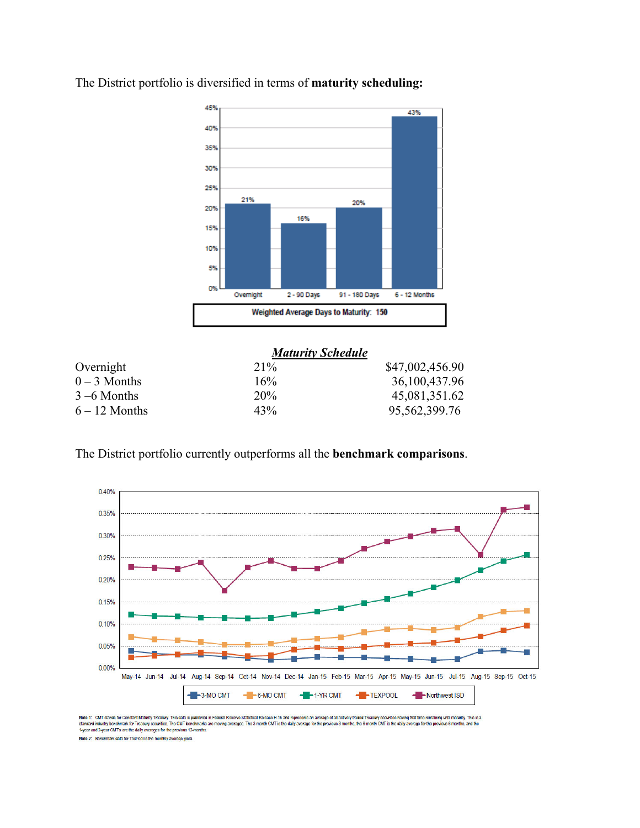

The District portfolio is diversified in terms of **maturity scheduling:** 

|                 | <b>Maturity Schedule</b> |                  |  |  |
|-----------------|--------------------------|------------------|--|--|
| Overnight       | $21\%$                   | \$47,002,456.90  |  |  |
| $0 - 3$ Months  | 16%                      | 36,100,437.96    |  |  |
| $3 - 6$ Months  | 20%                      | 45,081,351.62    |  |  |
| $6 - 12$ Months | 43%                      | 95, 562, 399. 76 |  |  |

The District portfolio currently outperforms all the **benchmark comparisons**.



Note 1: CMT stands for Constant Maturity Treasury. This data is published in Federal Reserve Statistical Release 1:15 and represents an average of all actively traded Treasury securities having that time remaining until ma

Note 2: Benchmark data for TexPool is the monthly average yield.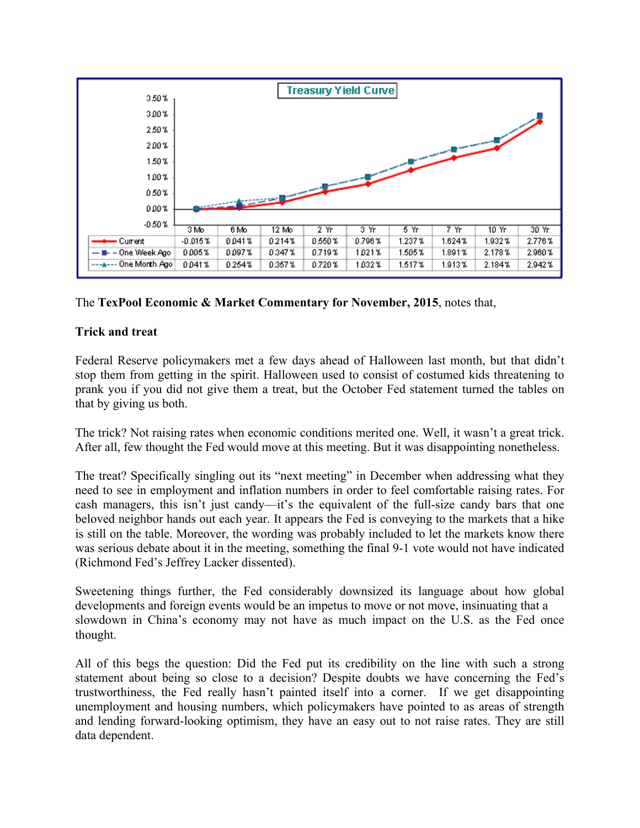

### The **TexPool Economic & Market Commentary for November, 2015**, notes that,

## **Trick and treat**

Federal Reserve policymakers met a few days ahead of Halloween last month, but that didn't stop them from getting in the spirit. Halloween used to consist of costumed kids threatening to prank you if you did not give them a treat, but the October Fed statement turned the tables on that by giving us both.

The trick? Not raising rates when economic conditions merited one. Well, it wasn't a great trick. After all, few thought the Fed would move at this meeting. But it was disappointing nonetheless.

The treat? Specifically singling out its "next meeting" in December when addressing what they need to see in employment and inflation numbers in order to feel comfortable raising rates. For cash managers, this isn't just candy—it's the equivalent of the full-size candy bars that one beloved neighbor hands out each year. It appears the Fed is conveying to the markets that a hike is still on the table. Moreover, the wording was probably included to let the markets know there was serious debate about it in the meeting, something the final 9-1 vote would not have indicated (Richmond Fed's Jeffrey Lacker dissented).

Sweetening things further, the Fed considerably downsized its language about how global developments and foreign events would be an impetus to move or not move, insinuating that a slowdown in China's economy may not have as much impact on the U.S. as the Fed once thought.

All of this begs the question: Did the Fed put its credibility on the line with such a strong statement about being so close to a decision? Despite doubts we have concerning the Fed's trustworthiness, the Fed really hasn't painted itself into a corner. If we get disappointing unemployment and housing numbers, which policymakers have pointed to as areas of strength and lending forward-looking optimism, they have an easy out to not raise rates. They are still data dependent.